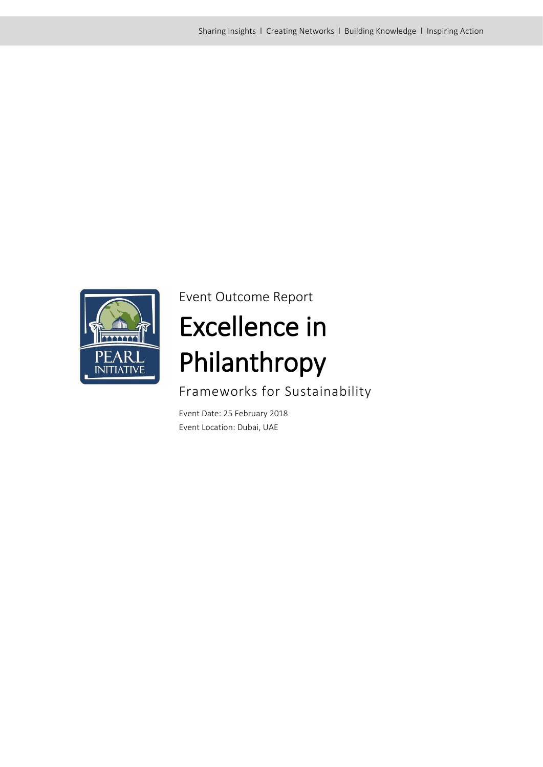

Event Outcome Report

# Excellence in Philanthropy

Frameworks for Sustainability

Event Date: 25 February 2018 Event Location: Dubai, UAE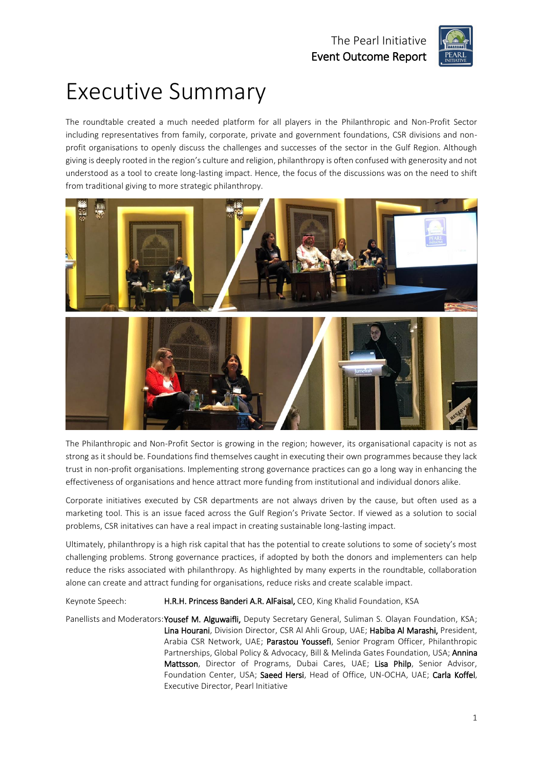

## Executive Summary

The roundtable created a much needed platform for all players in the Philanthropic and Non-Profit Sector including representatives from family, corporate, private and government foundations, CSR divisions and nonprofit organisations to openly discuss the challenges and successes of the sector in the Gulf Region. Although giving is deeply rooted in the region's culture and religion, philanthropy is often confused with generosity and not understood as a tool to create long-lasting impact. Hence, the focus of the discussions was on the need to shift from traditional giving to more strategic philanthropy.



The Philanthropic and Non-Profit Sector is growing in the region; however, its organisational capacity is not as strong as it should be. Foundations find themselves caught in executing their own programmes because they lack trust in non-profit organisations. Implementing strong governance practices can go a long way in enhancing the effectiveness of organisations and hence attract more funding from institutional and individual donors alike.

Corporate initiatives executed by CSR departments are not always driven by the cause, but often used as a marketing tool. This is an issue faced across the Gulf Region's Private Sector. If viewed as a solution to social problems, CSR initatives can have a real impact in creating sustainable long-lasting impact.

Ultimately, philanthropy is a high risk capital that has the potential to create solutions to some of society's most challenging problems. Strong governance practices, if adopted by both the donors and implementers can help reduce the risks associated with philanthropy. As highlighted by many experts in the roundtable, collaboration alone can create and attract funding for organisations, reduce risks and create scalable impact.

Keynote Speech: H.R.H. Princess Banderi A.R. AlFaisal, CEO, King Khalid Foundation, KSA

Panellists and Moderators: Yousef M. Alguwaifli, Deputy Secretary General, Suliman S. Olayan Foundation, KSA; Lina Hourani, Division Director, CSR Al Ahli Group, UAE; Habiba Al Marashi, President, Arabia CSR Network, UAE; Parastou Youssefi, Senior Program Officer, Philanthropic Partnerships, Global Policy & Advocacy, Bill & Melinda Gates Foundation, USA; Annina Mattsson, Director of Programs, Dubai Cares, UAE; Lisa Philp, Senior Advisor, Foundation Center, USA; Saeed Hersi, Head of Office, UN-OCHA, UAE; Carla Koffel, Executive Director, Pearl Initiative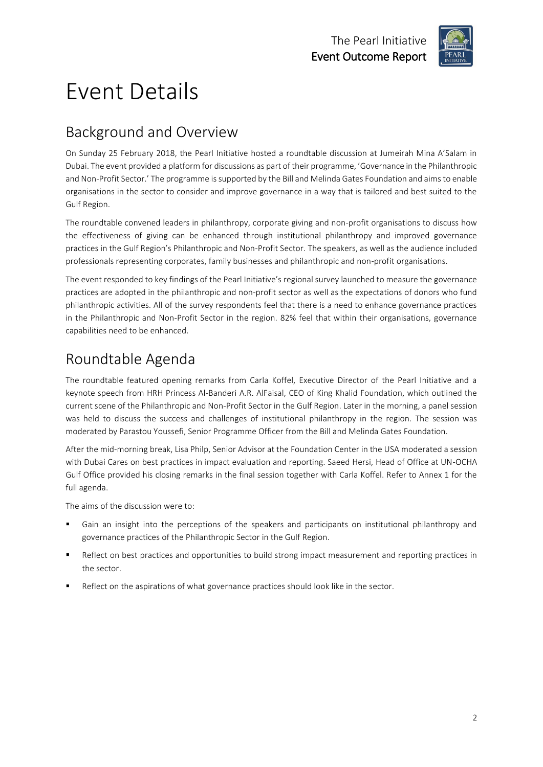

## Event Details

### Background and Overview

On Sunday 25 February 2018, the Pearl Initiative hosted a roundtable discussion at Jumeirah Mina A'Salam in Dubai. The event provided a platform for discussions as part of their programme, 'Governance in the Philanthropic and Non-Profit Sector.' The programme is supported by the Bill and Melinda Gates Foundation and aims to enable organisations in the sector to consider and improve governance in a way that is tailored and best suited to the Gulf Region.

The roundtable convened leaders in philanthropy, corporate giving and non-profit organisations to discuss how the effectiveness of giving can be enhanced through institutional philanthropy and improved governance practices in the Gulf Region's Philanthropic and Non-Profit Sector. The speakers, as well as the audience included professionals representing corporates, family businesses and philanthropic and non-profit organisations.

The event responded to key findings of the Pearl Initiative's regional survey launched to measure the governance practices are adopted in the philanthropic and non-profit sector as well as the expectations of donors who fund philanthropic activities. All of the survey respondents feel that there is a need to enhance governance practices in the Philanthropic and Non-Profit Sector in the region. 82% feel that within their organisations, governance capabilities need to be enhanced.

### Roundtable Agenda

The roundtable featured opening remarks from Carla Koffel, Executive Director of the Pearl Initiative and a keynote speech from HRH Princess Al-Banderi A.R. AlFaisal, CEO of King Khalid Foundation, which outlined the current scene of the Philanthropic and Non-Profit Sector in the Gulf Region. Later in the morning, a panel session was held to discuss the success and challenges of institutional philanthropy in the region. The session was moderated by Parastou Youssefi, Senior Programme Officer from the Bill and Melinda Gates Foundation.

After the mid-morning break, Lisa Philp, Senior Advisor at the Foundation Center in the USA moderated a session with Dubai Cares on best practices in impact evaluation and reporting. Saeed Hersi, Head of Office at UN-OCHA Gulf Office provided his closing remarks in the final session together with Carla Koffel. Refer to Annex 1 for the full agenda.

The aims of the discussion were to:

- Gain an insight into the perceptions of the speakers and participants on institutional philanthropy and governance practices of the Philanthropic Sector in the Gulf Region.
- Reflect on best practices and opportunities to build strong impact measurement and reporting practices in the sector.
- Reflect on the aspirations of what governance practices should look like in the sector.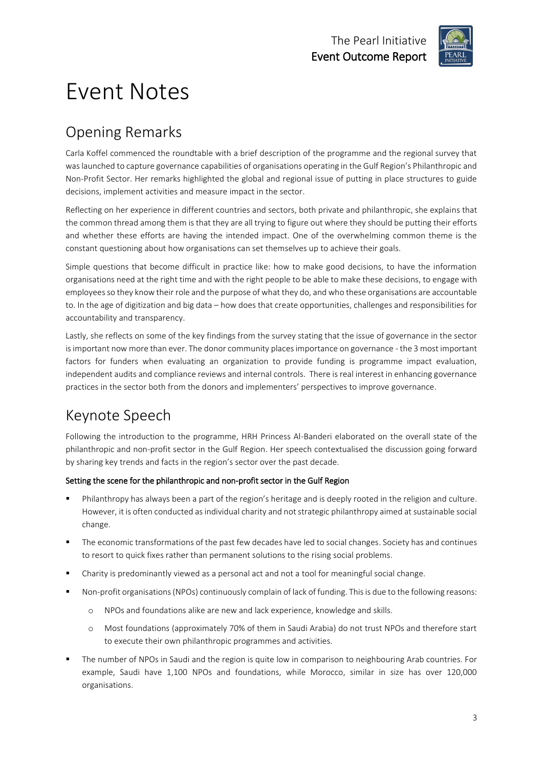

## Event Notes

### Opening Remarks

Carla Koffel commenced the roundtable with a brief description of the programme and the regional survey that was launched to capture governance capabilities of organisations operating in the Gulf Region's Philanthropic and Non-Profit Sector. Her remarks highlighted the global and regional issue of putting in place structures to guide decisions, implement activities and measure impact in the sector.

Reflecting on her experience in different countries and sectors, both private and philanthropic, she explains that the common thread among them is that they are all trying to figure out where they should be putting their efforts and whether these efforts are having the intended impact. One of the overwhelming common theme is the constant questioning about how organisations can set themselves up to achieve their goals.

Simple questions that become difficult in practice like: how to make good decisions, to have the information organisations need at the right time and with the right people to be able to make these decisions, to engage with employees so they know their role and the purpose of what they do, and who these organisations are accountable to. In the age of digitization and big data – how does that create opportunities, challenges and responsibilities for accountability and transparency.

Lastly, she reflects on some of the key findings from the survey stating that the issue of governance in the sector is important now more than ever. The donor community places importance on governance - the 3 most important factors for funders when evaluating an organization to provide funding is programme impact evaluation, independent audits and compliance reviews and internal controls. There is real interest in enhancing governance practices in the sector both from the donors and implementers' perspectives to improve governance.

### Keynote Speech

Following the introduction to the programme, HRH Princess Al-Banderi elaborated on the overall state of the philanthropic and non-profit sector in the Gulf Region. Her speech contextualised the discussion going forward by sharing key trends and facts in the region's sector over the past decade.

#### Setting the scene for the philanthropic and non-profit sector in the Gulf Region

- Philanthropy has always been a part of the region's heritage and is deeply rooted in the religion and culture. However, it is often conducted as individual charity and not strategic philanthropy aimed at sustainable social change.
- The economic transformations of the past few decades have led to social changes. Society has and continues to resort to quick fixes rather than permanent solutions to the rising social problems.
- Charity is predominantly viewed as a personal act and not a tool for meaningful social change.
- Non-profit organisations (NPOs) continuously complain of lack of funding. This is due to the following reasons:
	- o NPOs and foundations alike are new and lack experience, knowledge and skills.
	- o Most foundations (approximately 70% of them in Saudi Arabia) do not trust NPOs and therefore start to execute their own philanthropic programmes and activities.
- The number of NPOs in Saudi and the region is quite low in comparison to neighbouring Arab countries. For example, Saudi have 1,100 NPOs and foundations, while Morocco, similar in size has over 120,000 organisations.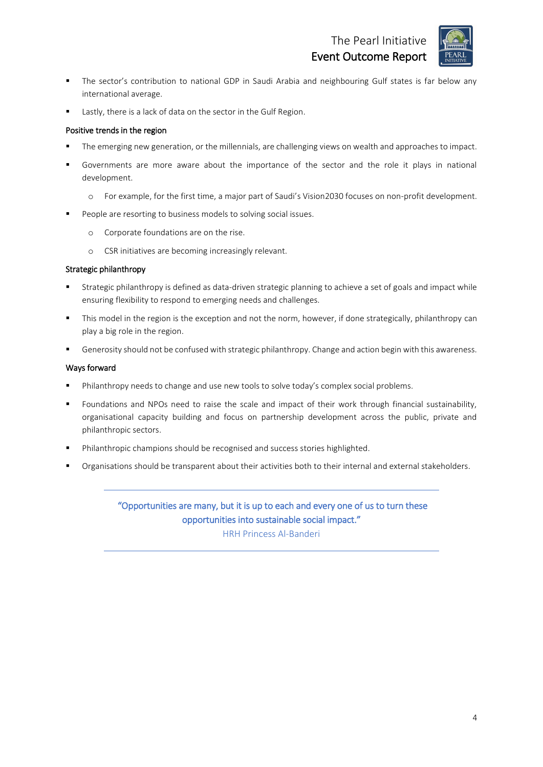The Pearl Initiative Event Outcome Report



- **■** The sector's contribution to national GDP in Saudi Arabia and neighbouring Gulf states is far below any international average.
- Lastly, there is a lack of data on the sector in the Gulf Region.

#### Positive trends in the region

- The emerging new generation, or the millennials, are challenging views on wealth and approaches to impact.
- Governments are more aware about the importance of the sector and the role it plays in national development.
	- o For example, for the first time, a major part of Saudi's Vision2030 focuses on non-profit development.
- People are resorting to business models to solving social issues.
	- o Corporate foundations are on the rise.
	- o CSR initiatives are becoming increasingly relevant.

#### Strategic philanthropy

- Strategic philanthropy is defined as data-driven strategic planning to achieve a set of goals and impact while ensuring flexibility to respond to emerging needs and challenges.
- This model in the region is the exception and not the norm, however, if done strategically, philanthropy can play a big role in the region.
- Generosity should not be confused with strategic philanthropy. Change and action begin with this awareness.

#### Ways forward

- **•** Philanthropy needs to change and use new tools to solve today's complex social problems.
- Foundations and NPOs need to raise the scale and impact of their work through financial sustainability, organisational capacity building and focus on partnership development across the public, private and philanthropic sectors.
- Philanthropic champions should be recognised and success stories highlighted.
- Organisations should be transparent about their activities both to their internal and external stakeholders.

#### "Opportunities are many, but it is up to each and every one of us to turn these opportunities into sustainable social impact."

HRH Princess Al-Banderi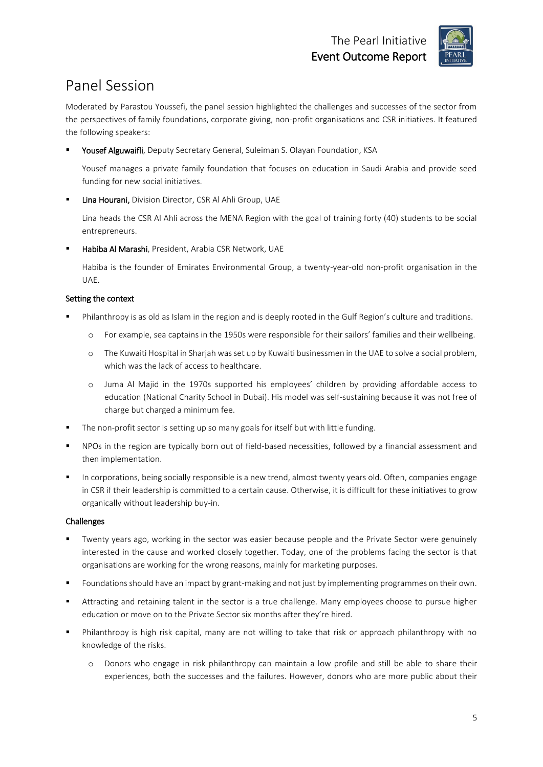

### Panel Session

Moderated by Parastou Youssefi, the panel session highlighted the challenges and successes of the sector from the perspectives of family foundations, corporate giving, non-profit organisations and CSR initiatives. It featured the following speakers:

Yousef Alguwaifli, Deputy Secretary General, Suleiman S. Olayan Foundation, KSA

Yousef manages a private family foundation that focuses on education in Saudi Arabia and provide seed funding for new social initiatives.

Lina Hourani, Division Director, CSR Al Ahli Group, UAE

Lina heads the CSR Al Ahli across the MENA Region with the goal of training forty (40) students to be social entrepreneurs.

Habiba Al Marashi, President, Arabia CSR Network, UAE

Habiba is the founder of Emirates Environmental Group, a twenty-year-old non-profit organisation in the UAE.

#### Setting the context

- Philanthropy is as old as Islam in the region and is deeply rooted in the Gulf Region's culture and traditions.
	- o For example, sea captains in the 1950s were responsible for their sailors' families and their wellbeing.
	- o The Kuwaiti Hospital in Sharjah was set up by Kuwaiti businessmen in the UAE to solve a social problem, which was the lack of access to healthcare.
	- o Juma Al Majid in the 1970s supported his employees' children by providing affordable access to education (National Charity School in Dubai). His model was self-sustaining because it was not free of charge but charged a minimum fee.
- The non-profit sector is setting up so many goals for itself but with little funding.
- NPOs in the region are typically born out of field-based necessities, followed by a financial assessment and then implementation.
- In corporations, being socially responsible is a new trend, almost twenty years old. Often, companies engage in CSR if their leadership is committed to a certain cause. Otherwise, it is difficult for these initiatives to grow organically without leadership buy-in.

#### Challenges

- Twenty years ago, working in the sector was easier because people and the Private Sector were genuinely interested in the cause and worked closely together. Today, one of the problems facing the sector is that organisations are working for the wrong reasons, mainly for marketing purposes.
- Foundations should have an impact by grant-making and not just by implementing programmes on their own.
- Attracting and retaining talent in the sector is a true challenge. Many employees choose to pursue higher education or move on to the Private Sector six months after they're hired.
- Philanthropy is high risk capital, many are not willing to take that risk or approach philanthropy with no knowledge of the risks.
	- o Donors who engage in risk philanthropy can maintain a low profile and still be able to share their experiences, both the successes and the failures. However, donors who are more public about their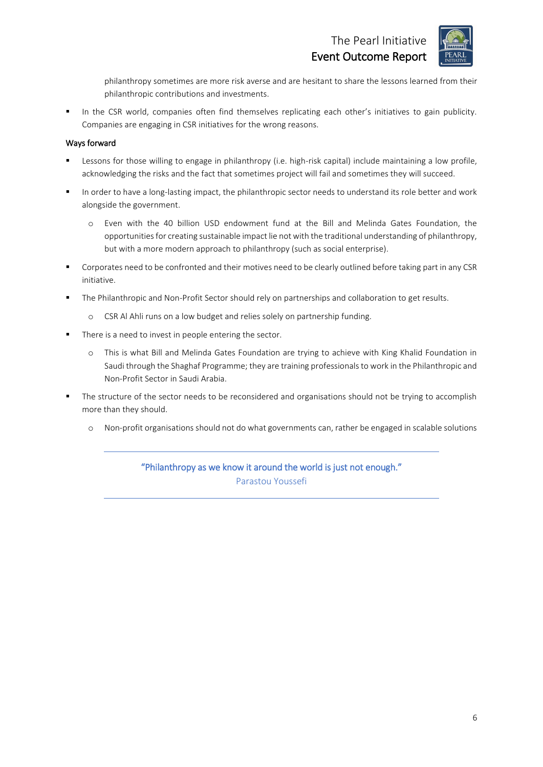

philanthropy sometimes are more risk averse and are hesitant to share the lessons learned from their philanthropic contributions and investments.

In the CSR world, companies often find themselves replicating each other's initiatives to gain publicity. Companies are engaging in CSR initiatives for the wrong reasons.

#### Ways forward

- Lessons for those willing to engage in philanthropy (i.e. high-risk capital) include maintaining a low profile, acknowledging the risks and the fact that sometimes project will fail and sometimes they will succeed.
- In order to have a long-lasting impact, the philanthropic sector needs to understand its role better and work alongside the government.
	- o Even with the 40 billion USD endowment fund at the Bill and Melinda Gates Foundation, the opportunities for creating sustainable impact lie not with the traditional understanding of philanthropy, but with a more modern approach to philanthropy (such as social enterprise).
- Corporates need to be confronted and their motives need to be clearly outlined before taking part in any CSR initiative.
- The Philanthropic and Non-Profit Sector should rely on partnerships and collaboration to get results.
	- o CSR Al Ahli runs on a low budget and relies solely on partnership funding.
- There is a need to invest in people entering the sector.
	- o This is what Bill and Melinda Gates Foundation are trying to achieve with King Khalid Foundation in Saudi through the Shaghaf Programme; they are training professionals to work in the Philanthropic and Non-Profit Sector in Saudi Arabia.
- The structure of the sector needs to be reconsidered and organisations should not be trying to accomplish more than they should.
	- o Non-profit organisations should not do what governments can, rather be engaged in scalable solutions

"Philanthropy as we know it around the world is just not enough." Parastou Youssefi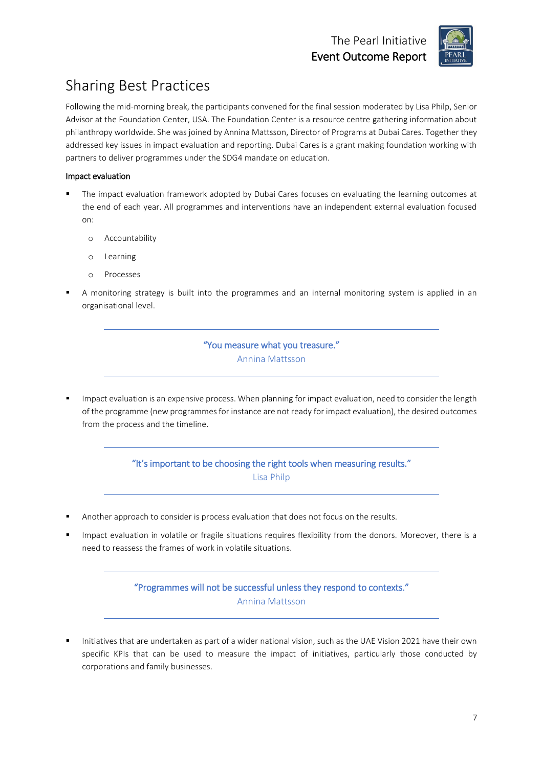

### Sharing Best Practices

Following the mid-morning break, the participants convened for the final session moderated by Lisa Philp, Senior Advisor at the Foundation Center, USA. The Foundation Center is a resource centre gathering information about philanthropy worldwide. She was joined by Annina Mattsson, Director of Programs at Dubai Cares. Together they addressed key issues in impact evaluation and reporting. Dubai Cares is a grant making foundation working with partners to deliver programmes under the SDG4 mandate on education.

#### Impact evaluation

- The impact evaluation framework adopted by Dubai Cares focuses on evaluating the learning outcomes at the end of each year. All programmes and interventions have an independent external evaluation focused on:
	- o Accountability
	- o Learning
	- o Processes
- A monitoring strategy is built into the programmes and an internal monitoring system is applied in an organisational level.

#### "You measure what you treasure." Annina Mattsson

Impact evaluation is an expensive process. When planning for impact evaluation, need to consider the length of the programme (new programmes for instance are not ready for impact evaluation), the desired outcomes from the process and the timeline.

#### "It's important to be choosing the right tools when measuring results." Lisa Philp

- Another approach to consider is process evaluation that does not focus on the results.
- Impact evaluation in volatile or fragile situations requires flexibility from the donors. Moreover, there is a need to reassess the frames of work in volatile situations.

"Programmes will not be successful unless they respond to contexts." Annina Mattsson

Initiatives that are undertaken as part of a wider national vision, such as the UAE Vision 2021 have their own specific KPIs that can be used to measure the impact of initiatives, particularly those conducted by corporations and family businesses.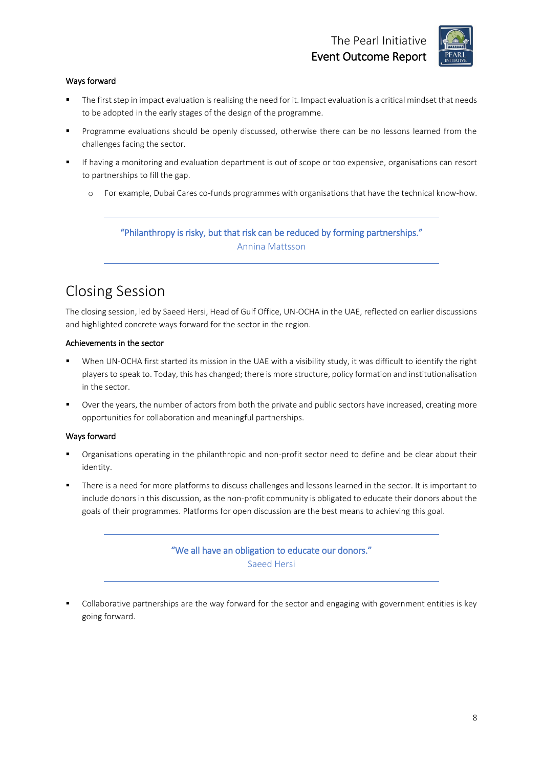

#### Ways forward

- The first step in impact evaluation is realising the need for it. Impact evaluation is a critical mindset that needs to be adopted in the early stages of the design of the programme.
- Programme evaluations should be openly discussed, otherwise there can be no lessons learned from the challenges facing the sector.
- If having a monitoring and evaluation department is out of scope or too expensive, organisations can resort to partnerships to fill the gap.
	- o For example, Dubai Cares co-funds programmes with organisations that have the technical know-how.

### "Philanthropy is risky, but that risk can be reduced by forming partnerships."

Annina Mattsson

### Closing Session

The closing session, led by Saeed Hersi, Head of Gulf Office, UN-OCHA in the UAE, reflected on earlier discussions and highlighted concrete ways forward for the sector in the region.

#### Achievements in the sector

- When UN-OCHA first started its mission in the UAE with a visibility study, it was difficult to identify the right players to speak to. Today, this has changed; there is more structure, policy formation and institutionalisation in the sector.
- Over the years, the number of actors from both the private and public sectors have increased, creating more opportunities for collaboration and meaningful partnerships.

#### Ways forward

- Organisations operating in the philanthropic and non-profit sector need to define and be clear about their identity.
- There is a need for more platforms to discuss challenges and lessons learned in the sector. It is important to include donors in this discussion, as the non-profit community is obligated to educate their donors about the goals of their programmes. Platforms for open discussion are the best means to achieving this goal.

#### "We all have an obligation to educate our donors." Saeed Hersi

Collaborative partnerships are the way forward for the sector and engaging with government entities is key going forward.